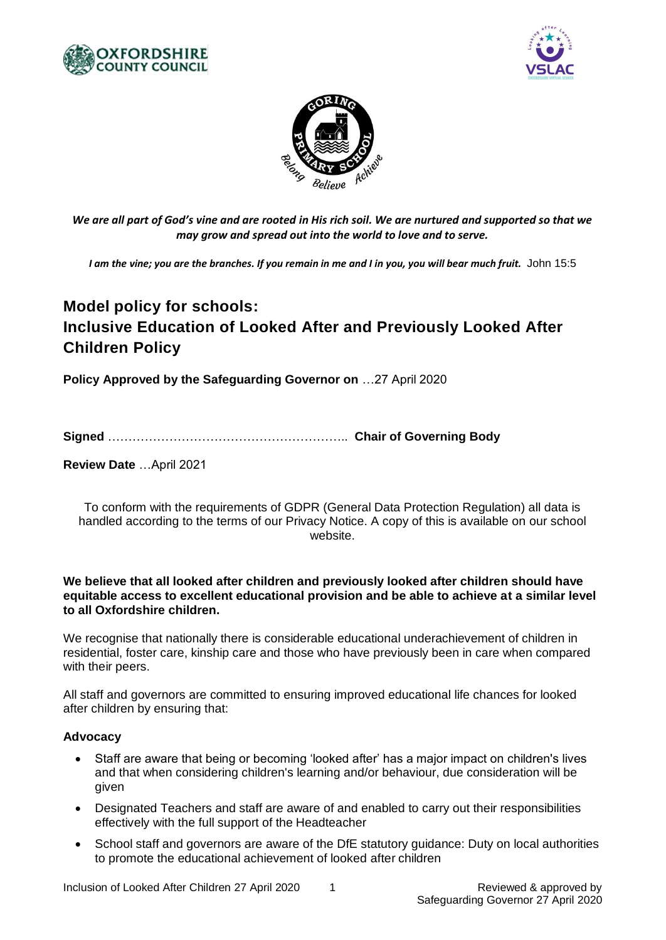





*We are all part of God's vine and are rooted in His rich soil. We are nurtured and supported so that we may grow and spread out into the world to love and to serve.*

*I am the vine; you are the branches. If you remain in me and I in you, you will bear much fruit.* John 15:5

# **Model policy for schools: Inclusive Education of Looked After and Previously Looked After Children Policy**

**Policy Approved by the Safeguarding Governor on** …27 April 2020

**Signed** ………………………………………………….. **Chair of Governing Body**

**Review Date** …April 2021

To conform with the requirements of GDPR (General Data Protection Regulation) all data is handled according to the terms of our Privacy Notice. A copy of this is available on our school website.

#### **We believe that all looked after children and previously looked after children should have equitable access to excellent educational provision and be able to achieve at a similar level to all Oxfordshire children.**

We recognise that nationally there is considerable educational underachievement of children in residential, foster care, kinship care and those who have previously been in care when compared with their peers.

All staff and governors are committed to ensuring improved educational life chances for looked after children by ensuring that:

## **Advocacy**

- Staff are aware that being or becoming 'looked after' has a major impact on children's lives and that when considering children's learning and/or behaviour, due consideration will be given
- Designated Teachers and staff are aware of and enabled to carry out their responsibilities effectively with the full support of the Headteacher
- School staff and governors are aware of the DfE statutory guidance: Duty on local authorities to promote the educational achievement of looked after children

Inclusion of Looked After Children 27 April 2020 1 1 Reviewed & approved by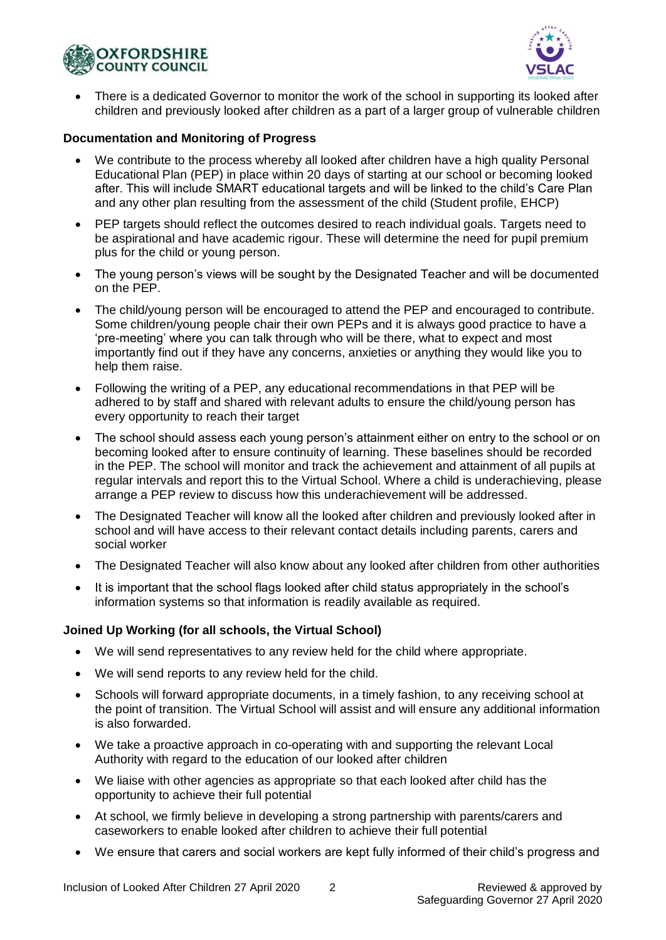



 There is a dedicated Governor to monitor the work of the school in supporting its looked after children and previously looked after children as a part of a larger group of vulnerable children

#### **Documentation and Monitoring of Progress**

- We contribute to the process whereby all looked after children have a high quality Personal Educational Plan (PEP) in place within 20 days of starting at our school or becoming looked after. This will include SMART educational targets and will be linked to the child's Care Plan and any other plan resulting from the assessment of the child (Student profile, EHCP)
- PEP targets should reflect the outcomes desired to reach individual goals. Targets need to be aspirational and have academic rigour. These will determine the need for pupil premium plus for the child or young person.
- The young person's views will be sought by the Designated Teacher and will be documented on the PEP.
- The child/young person will be encouraged to attend the PEP and encouraged to contribute. Some children/young people chair their own PEPs and it is always good practice to have a 'pre-meeting' where you can talk through who will be there, what to expect and most importantly find out if they have any concerns, anxieties or anything they would like you to help them raise.
- Following the writing of a PEP, any educational recommendations in that PEP will be adhered to by staff and shared with relevant adults to ensure the child/young person has every opportunity to reach their target
- The school should assess each young person's attainment either on entry to the school or on becoming looked after to ensure continuity of learning. These baselines should be recorded in the PEP. The school will monitor and track the achievement and attainment of all pupils at regular intervals and report this to the Virtual School. Where a child is underachieving, please arrange a PEP review to discuss how this underachievement will be addressed.
- The Designated Teacher will know all the looked after children and previously looked after in school and will have access to their relevant contact details including parents, carers and social worker
- The Designated Teacher will also know about any looked after children from other authorities
- It is important that the school flags looked after child status appropriately in the school's information systems so that information is readily available as required.

## **Joined Up Working (for all schools, the Virtual School)**

- We will send representatives to any review held for the child where appropriate.
- We will send reports to any review held for the child.
- Schools will forward appropriate documents, in a timely fashion, to any receiving school at the point of transition. The Virtual School will assist and will ensure any additional information is also forwarded.
- We take a proactive approach in co-operating with and supporting the relevant Local Authority with regard to the education of our looked after children
- We liaise with other agencies as appropriate so that each looked after child has the opportunity to achieve their full potential
- At school, we firmly believe in developing a strong partnership with parents/carers and caseworkers to enable looked after children to achieve their full potential
- We ensure that carers and social workers are kept fully informed of their child's progress and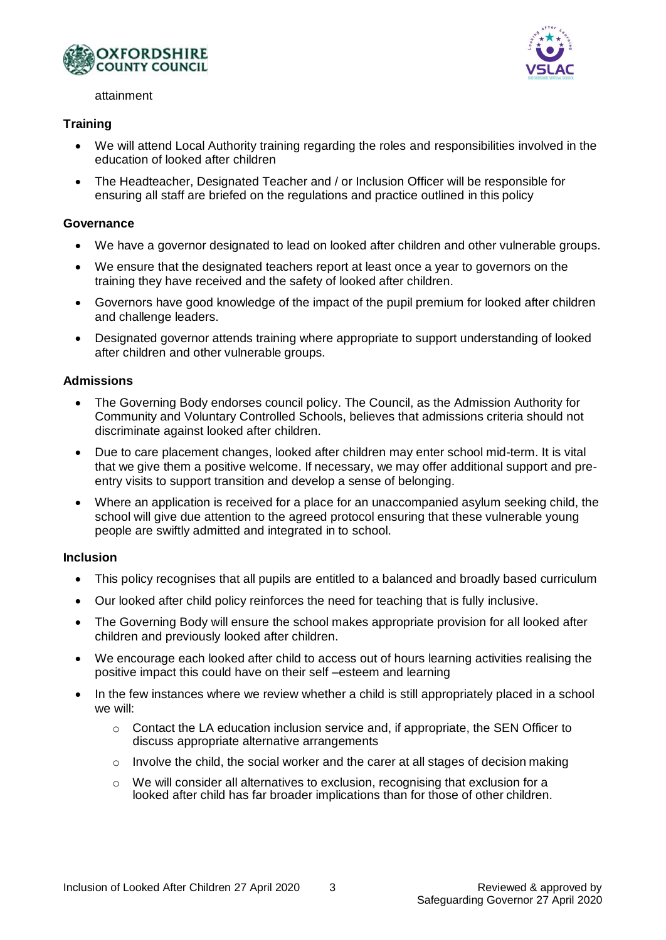



attainment

## **Training**

- We will attend Local Authority training regarding the roles and responsibilities involved in the education of looked after children
- The Headteacher, Designated Teacher and / or Inclusion Officer will be responsible for ensuring all staff are briefed on the regulations and practice outlined in this policy

#### **Governance**

- We have a governor designated to lead on looked after children and other vulnerable groups.
- We ensure that the designated teachers report at least once a year to governors on the training they have received and the safety of looked after children.
- Governors have good knowledge of the impact of the pupil premium for looked after children and challenge leaders.
- Designated governor attends training where appropriate to support understanding of looked after children and other vulnerable groups.

#### **Admissions**

- The Governing Body endorses council policy. The Council, as the Admission Authority for Community and Voluntary Controlled Schools, believes that admissions criteria should not discriminate against looked after children.
- Due to care placement changes, looked after children may enter school mid-term. It is vital that we give them a positive welcome. If necessary, we may offer additional support and preentry visits to support transition and develop a sense of belonging.
- Where an application is received for a place for an unaccompanied asylum seeking child, the school will give due attention to the agreed protocol ensuring that these vulnerable young people are swiftly admitted and integrated in to school.

## **Inclusion**

- This policy recognises that all pupils are entitled to a balanced and broadly based curriculum
- Our looked after child policy reinforces the need for teaching that is fully inclusive.
- The Governing Body will ensure the school makes appropriate provision for all looked after children and previously looked after children.
- We encourage each looked after child to access out of hours learning activities realising the positive impact this could have on their self –esteem and learning
- In the few instances where we review whether a child is still appropriately placed in a school we will:
	- o Contact the LA education inclusion service and, if appropriate, the SEN Officer to discuss appropriate alternative arrangements
	- $\circ$  Involve the child, the social worker and the carer at all stages of decision making
	- $\circ$  We will consider all alternatives to exclusion, recognising that exclusion for a looked after child has far broader implications than for those of other children.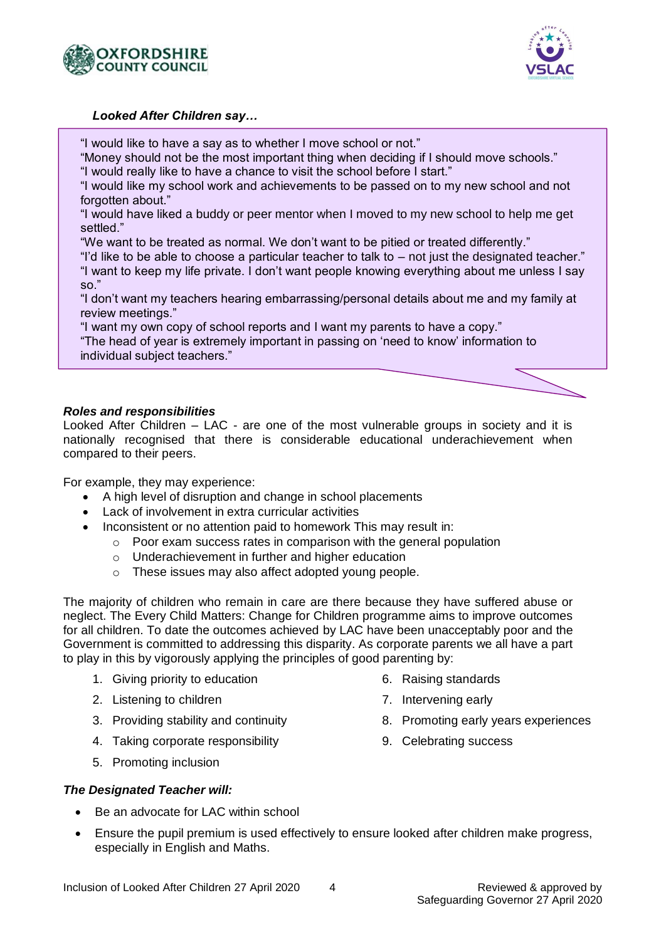



#### *Looked After Children say…*

"I would like to have a say as to whether I move school or not."

"Money should not be the most important thing when deciding if I should move schools." "I would really like to have a chance to visit the school before I start."

"I would like my school work and achievements to be passed on to my new school and not forgotten about."

"I would have liked a buddy or peer mentor when I moved to my new school to help me get settled."

"We want to be treated as normal. We don't want to be pitied or treated differently."

"I'd like to be able to choose a particular teacher to talk to – not just the designated teacher." "I want to keep my life private. I don't want people knowing everything about me unless I say so."

"I don't want my teachers hearing embarrassing/personal details about me and my family at review meetings."

"I want my own copy of school reports and I want my parents to have a copy."

"The head of year is extremely important in passing on 'need to know' information to individual subject teachers."

## *Roles and responsibilities*

Looked After Children – LAC - are one of the most vulnerable groups in society and it is nationally recognised that there is considerable educational underachievement when compared to their peers.

For example, they may experience:

- A high level of disruption and change in school placements
- Lack of involvement in extra curricular activities
- Inconsistent or no attention paid to homework This may result in:
	- o Poor exam success rates in comparison with the general population
		- o Underachievement in further and higher education
		- o These issues may also affect adopted young people.

The majority of children who remain in care are there because they have suffered abuse or neglect. The Every Child Matters: Change for Children programme aims to improve outcomes for all children. To date the outcomes achieved by LAC have been unacceptably poor and the Government is committed to addressing this disparity. As corporate parents we all have a part to play in this by vigorously applying the principles of good parenting by:

- 1. Giving priority to education
- 2. Listening to children
- 3. Providing stability and continuity
- 4. Taking corporate responsibility
- 5. Promoting inclusion
- 6. Raising standards
- 7. Intervening early
- 8. Promoting early years experiences
- 9. Celebrating success

- *The Designated Teacher will:*
	- Be an advocate for LAC within school
	- Ensure the pupil premium is used effectively to ensure looked after children make progress, especially in English and Maths.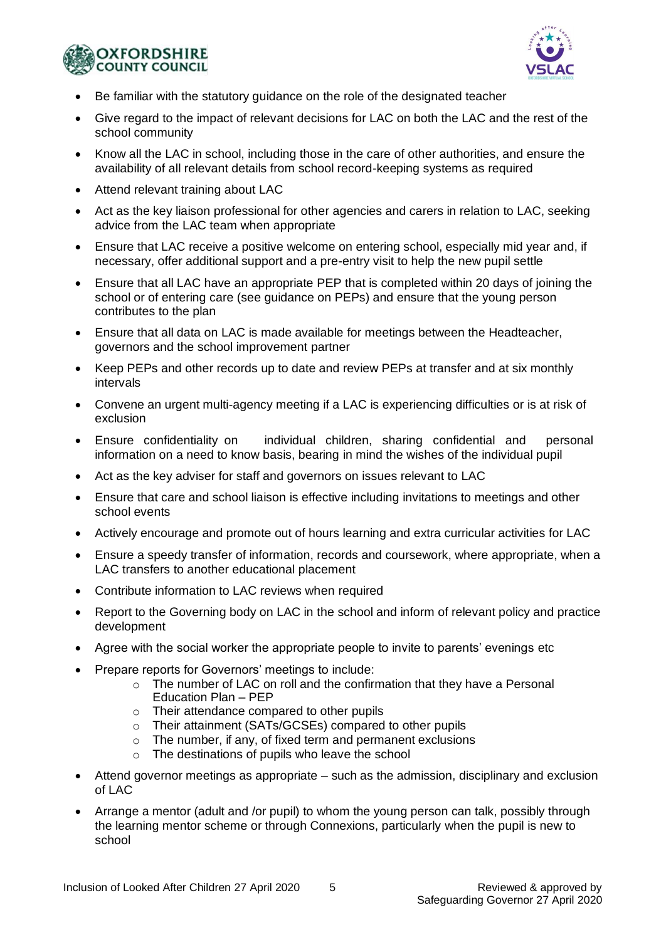



- Be familiar with the statutory guidance on the role of the designated teacher
- Give regard to the impact of relevant decisions for LAC on both the LAC and the rest of the school community
- Know all the LAC in school, including those in the care of other authorities, and ensure the availability of all relevant details from school record-keeping systems as required
- Attend relevant training about LAC
- Act as the key liaison professional for other agencies and carers in relation to LAC, seeking advice from the LAC team when appropriate
- Ensure that LAC receive a positive welcome on entering school, especially mid year and, if necessary, offer additional support and a pre-entry visit to help the new pupil settle
- Ensure that all LAC have an appropriate PEP that is completed within 20 days of joining the school or of entering care (see guidance on PEPs) and ensure that the young person contributes to the plan
- Ensure that all data on LAC is made available for meetings between the Headteacher, governors and the school improvement partner
- Keep PEPs and other records up to date and review PEPs at transfer and at six monthly intervals
- Convene an urgent multi-agency meeting if a LAC is experiencing difficulties or is at risk of exclusion
- Ensure confidentiality on individual children, sharing confidential and personal information on a need to know basis, bearing in mind the wishes of the individual pupil
- Act as the key adviser for staff and governors on issues relevant to LAC
- Ensure that care and school liaison is effective including invitations to meetings and other school events
- Actively encourage and promote out of hours learning and extra curricular activities for LAC
- Ensure a speedy transfer of information, records and coursework, where appropriate, when a LAC transfers to another educational placement
- Contribute information to LAC reviews when required
- Report to the Governing body on LAC in the school and inform of relevant policy and practice development
- Agree with the social worker the appropriate people to invite to parents' evenings etc
- Prepare reports for Governors' meetings to include:
	- $\circ$  The number of LAC on roll and the confirmation that they have a Personal Education Plan – PEP
	- o Their attendance compared to other pupils
	- o Their attainment (SATs/GCSEs) compared to other pupils
	- o The number, if any, of fixed term and permanent exclusions
	- o The destinations of pupils who leave the school
- Attend governor meetings as appropriate such as the admission, disciplinary and exclusion of LAC
- Arrange a mentor (adult and /or pupil) to whom the young person can talk, possibly through the learning mentor scheme or through Connexions, particularly when the pupil is new to school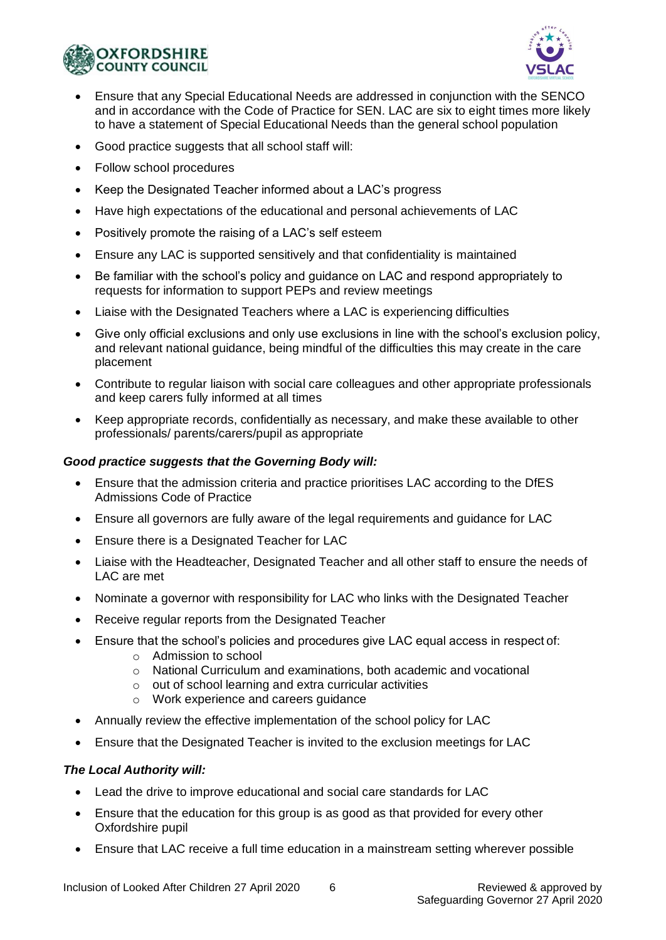



- Ensure that any Special Educational Needs are addressed in conjunction with the SENCO and in accordance with the Code of Practice for SEN. LAC are six to eight times more likely to have a statement of Special Educational Needs than the general school population
- Good practice suggests that all school staff will:
- Follow school procedures
- Keep the Designated Teacher informed about a LAC's progress
- Have high expectations of the educational and personal achievements of LAC
- Positively promote the raising of a LAC's self esteem
- Ensure any LAC is supported sensitively and that confidentiality is maintained
- Be familiar with the school's policy and guidance on LAC and respond appropriately to requests for information to support PEPs and review meetings
- Liaise with the Designated Teachers where a LAC is experiencing difficulties
- Give only official exclusions and only use exclusions in line with the school's exclusion policy, and relevant national guidance, being mindful of the difficulties this may create in the care placement
- Contribute to regular liaison with social care colleagues and other appropriate professionals and keep carers fully informed at all times
- Keep appropriate records, confidentially as necessary, and make these available to other professionals/ parents/carers/pupil as appropriate

## *Good practice suggests that the Governing Body will:*

- Ensure that the admission criteria and practice prioritises LAC according to the DfES Admissions Code of Practice
- Ensure all governors are fully aware of the legal requirements and guidance for LAC
- Ensure there is a Designated Teacher for LAC
- Liaise with the Headteacher, Designated Teacher and all other staff to ensure the needs of LAC are met
- Nominate a governor with responsibility for LAC who links with the Designated Teacher
- Receive regular reports from the Designated Teacher
- Ensure that the school's policies and procedures give LAC equal access in respect of:
	- o Admission to school
	- $\circ$  National Curriculum and examinations, both academic and vocational
	- o out of school learning and extra curricular activities
	- o Work experience and careers guidance
- Annually review the effective implementation of the school policy for LAC
- Ensure that the Designated Teacher is invited to the exclusion meetings for LAC

## *The Local Authority will:*

- Lead the drive to improve educational and social care standards for LAC
- Ensure that the education for this group is as good as that provided for every other Oxfordshire pupil
- Ensure that LAC receive a full time education in a mainstream setting wherever possible